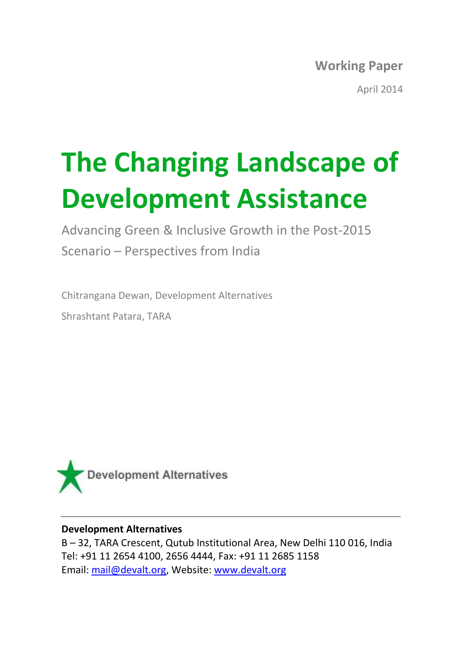**Working Paper** 

April 2014

# **The Changing Landscape of Development Assistance**

Advancing Green & Inclusive Growth in the Post-2015 Scenario – Perspectives from India

Chitrangana Dewan, Development Alternatives Shrashtant Patara, TARA



#### **Development Alternatives**

B – 32, TARA Crescent, Qutub Institutional Area, New Delhi 110 016, India Tel: +91 11 2654 4100, 2656 4444, Fax: +91 11 2685 1158 Email: [mail@devalt.org,](mailto:mail@devalt.org) Website: [www.devalt.org](http://www.devalt.org/)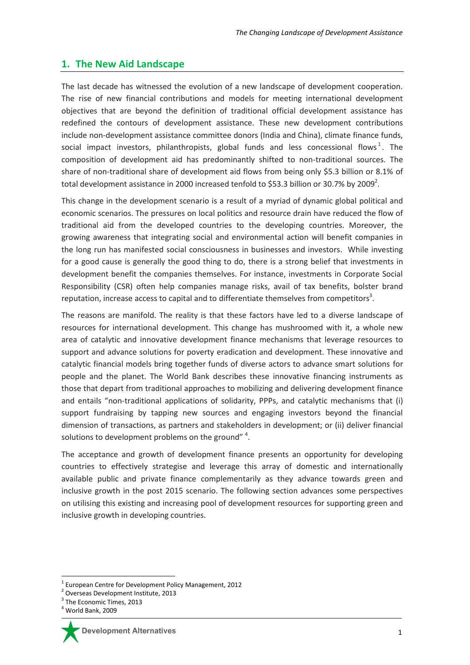### **1. The New Aid Landscape**

The last decade has witnessed the evolution of a new landscape of development cooperation. The rise of new financial contributions and models for meeting international development objectives that are beyond the definition of traditional official development assistance has redefined the contours of development assistance. These new development contributions include non-development assistance committee donors (India and China), climate finance funds, social impact investors, philanthropists, global funds and less concessional flows<sup>1</sup>. The composition of development aid has predominantly shifted to non-traditional sources. The share of non-traditional share of development aid flows from being only \$5.3 billion or 8.1% of total development assistance in 2000 increased tenfold to \$53.3 billion or 30.7% by 2009<sup>2</sup>.

This change in the development scenario is a result of a myriad of dynamic global political and economic scenarios. The pressures on local politics and resource drain have reduced the flow of traditional aid from the developed countries to the developing countries. Moreover, the growing awareness that integrating social and environmental action will benefit companies in the long run has manifested social consciousness in businesses and investors. While investing for a good cause is generally the good thing to do, there is a strong belief that investments in development benefit the companies themselves. For instance, investments in Corporate Social Responsibility (CSR) often help companies manage risks, avail of tax benefits, bolster brand reputation, increase access to capital and to differentiate themselves from competitors<sup>3</sup>.

The reasons are manifold. The reality is that these factors have led to a diverse landscape of resources for international development. This change has mushroomed with it, a whole new area of catalytic and innovative development finance mechanisms that leverage resources to support and advance solutions for poverty eradication and development. These innovative and catalytic financial models bring together funds of diverse actors to advance smart solutions for people and the planet. The World Bank describes these innovative financing instruments as those that depart from traditional approaches to mobilizing and delivering development finance and entails "non-traditional applications of solidarity, PPPs, and catalytic mechanisms that (i) support fundraising by tapping new sources and engaging investors beyond the financial dimension of transactions, as partners and stakeholders in development; or (ii) deliver financial solutions to development problems on the ground"  $4$ .

The acceptance and growth of development finance presents an opportunity for developing countries to effectively strategise and leverage this array of domestic and internationally available public and private finance complementarily as they advance towards green and inclusive growth in the post 2015 scenario. The following section advances some perspectives on utilising this existing and increasing pool of development resources for supporting green and inclusive growth in developing countries.

<sup>4</sup> World Bank, 2009



 $\overline{\phantom{a}}$ 

<sup>&</sup>lt;sup>1</sup> European Centre for Development Policy Management, 2012

<sup>2</sup> Overseas Development Institute, 2013

 $^3$  The Economic Times, 2013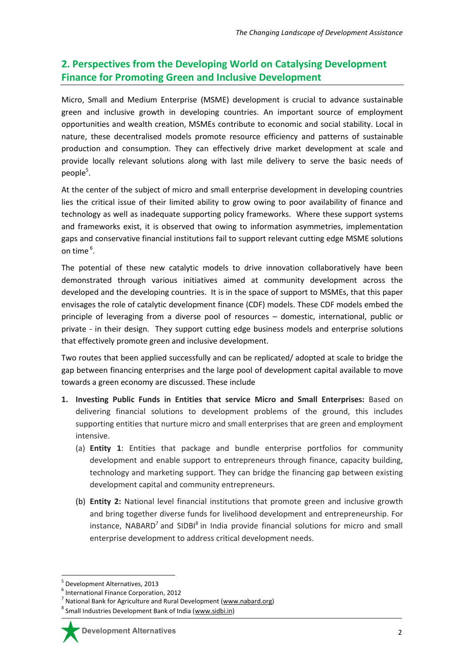## **2. Perspectives from the Developing World on Catalysing Development Finance for Promoting Green and Inclusive Development**

Micro, Small and Medium Enterprise (MSME) development is crucial to advance sustainable green and inclusive growth in developing countries. An important source of employment opportunities and wealth creation, MSMEs contribute to economic and social stability. Local in nature, these decentralised models promote resource efficiency and patterns of sustainable production and consumption. They can effectively drive market development at scale and provide locally relevant solutions along with last mile delivery to serve the basic needs of people<sup>5</sup>.

At the center of the subject of micro and small enterprise development in developing countries lies the critical issue of their limited ability to grow owing to poor availability of finance and technology as well as inadequate supporting policy frameworks. Where these support systems and frameworks exist, it is observed that owing to information asymmetries, implementation gaps and conservative financial institutions fail to support relevant cutting edge MSME solutions on time  $^6$ .

The potential of these new catalytic models to drive innovation collaboratively have been demonstrated through various initiatives aimed at community development across the developed and the developing countries. It is in the space of support to MSMEs, that this paper envisages the role of catalytic development finance (CDF) models. These CDF models embed the principle of leveraging from a diverse pool of resources – domestic, international, public or private - in their design. They support cutting edge business models and enterprise solutions that effectively promote green and inclusive development.

Two routes that been applied successfully and can be replicated/ adopted at scale to bridge the gap between financing enterprises and the large pool of development capital available to move towards a green economy are discussed. These include

- **1. Investing Public Funds in Entities that service Micro and Small Enterprises:** Based on delivering financial solutions to development problems of the ground, this includes supporting entities that nurture micro and small enterprises that are green and employment intensive.
	- (a) **Entity 1**: Entities that package and bundle enterprise portfolios for community development and enable support to entrepreneurs through finance, capacity building, technology and marketing support. They can bridge the financing gap between existing development capital and community entrepreneurs.
	- (b) **Entity 2:** National level financial institutions that promote green and inclusive growth and bring together diverse funds for livelihood development and entrepreneurship. For instance, NABARD<sup>7</sup> and SIDBI<sup>8</sup> in India provide financial solutions for micro and small enterprise development to address critical development needs.

 $\overline{\phantom{a}}$ 

<sup>5</sup> Development Alternatives, 2013

<sup>6</sup> International Finance Corporation, 2012

<sup>&</sup>lt;sup>7</sup> National Bank for Agriculture and Rural Development (www.nabard.org) <sup>8</sup> Small Industries Development Bank of India (www.sidbi.in)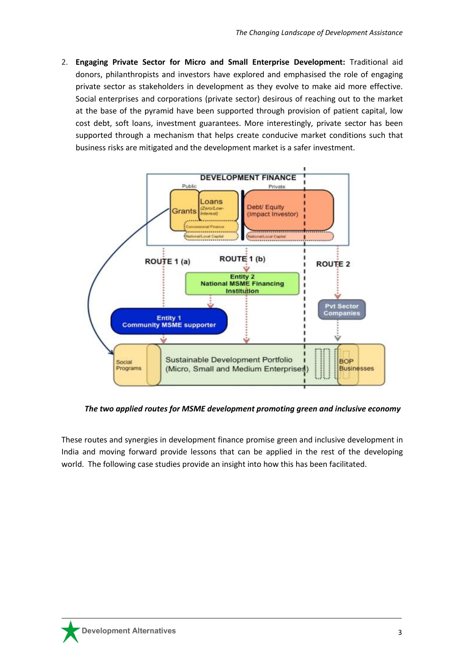2. **Engaging Private Sector for Micro and Small Enterprise Development:** Traditional aid donors, philanthropists and investors have explored and emphasised the role of engaging private sector as stakeholders in development as they evolve to make aid more effective. Social enterprises and corporations (private sector) desirous of reaching out to the market at the base of the pyramid have been supported through provision of patient capital, low cost debt, soft loans, investment guarantees. More interestingly, private sector has been supported through a mechanism that helps create conducive market conditions such that business risks are mitigated and the development market is a safer investment.



*The two applied routes for MSME development promoting green and inclusive economy*

These routes and synergies in development finance promise green and inclusive development in India and moving forward provide lessons that can be applied in the rest of the developing world. The following case studies provide an insight into how this has been facilitated.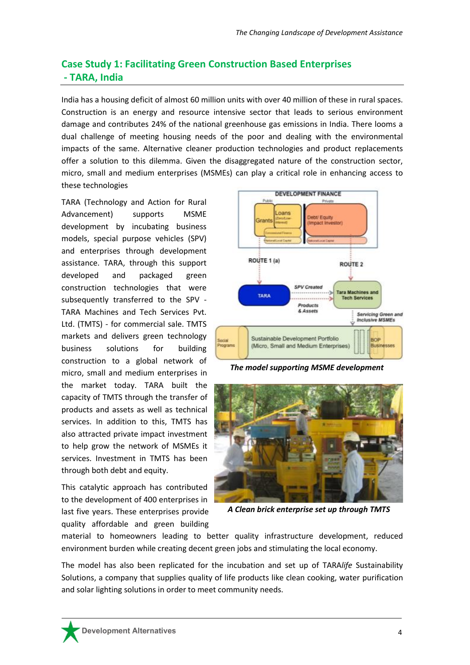## **Case Study 1: Facilitating Green Construction Based Enterprises - TARA, India**

India has a housing deficit of almost 60 million units with over 40 million of these in rural spaces. Construction is an energy and resource intensive sector that leads to serious environment damage and contributes 24% of the national greenhouse gas emissions in India. There looms a dual challenge of meeting housing needs of the poor and dealing with the environmental impacts of the same. Alternative cleaner production technologies and product replacements offer a solution to this dilemma. Given the disaggregated nature of the construction sector, micro, small and medium enterprises (MSMEs) can play a critical role in enhancing access to these technologies

TARA (Technology and Action for Rural Advancement) supports MSME development by incubating business models, special purpose vehicles (SPV) and enterprises through development assistance. TARA, through this support developed and packaged green construction technologies that were subsequently transferred to the SPV - TARA Machines and Tech Services Pvt. Ltd. (TMTS) - for commercial sale. TMTS markets and delivers green technology business solutions for building construction to a global network of micro, small and medium enterprises in the market today. TARA built the capacity of TMTS through the transfer of products and assets as well as technical services. In addition to this, TMTS has also attracted private impact investment to help grow the network of MSMEs it services. Investment in TMTS has been through both debt and equity.

This catalytic approach has contributed to the development of 400 enterprises in last five years. These enterprises provide quality affordable and green building



*The model supporting MSME development*



*A Clean brick enterprise set up through TMTS* 

material to homeowners leading to better quality infrastructure development, reduced environment burden while creating decent green jobs and stimulating the local economy.

The model has also been replicated for the incubation and set up of TARA*life* Sustainability Solutions, a company that supplies quality of life products like clean cooking, water purification and solar lighting solutions in order to meet community needs.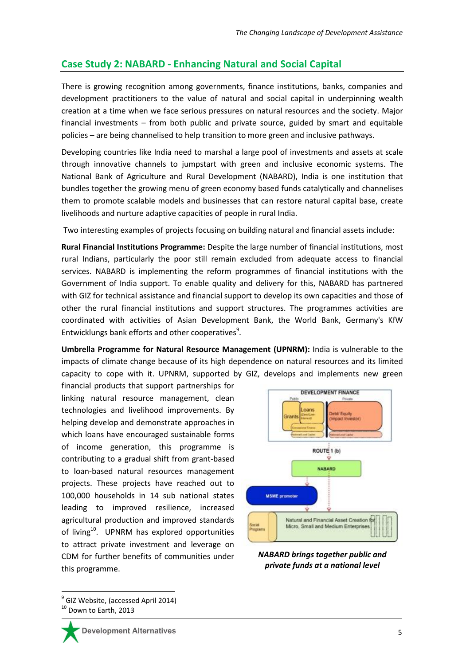#### **Case Study 2: NABARD - Enhancing Natural and Social Capital**

There is growing recognition among governments, finance institutions, banks, companies and development practitioners to the value of natural and social capital in underpinning wealth creation at a time when we face serious pressures on natural resources and the society. Major financial investments – from both public and private source, guided by smart and equitable policies – are being channelised to help transition to more green and inclusive pathways.

Developing countries like India need to marshal a large pool of investments and assets at scale through innovative channels to jumpstart with green and inclusive economic systems. The National Bank of Agriculture and Rural Development (NABARD), India is one institution that bundles together the growing menu of green economy based funds catalytically and channelises them to promote scalable models and businesses that can restore natural capital base, create livelihoods and nurture adaptive capacities of people in rural India.

Two interesting examples of projects focusing on building natural and financial assets include:

**Rural Financial Institutions Programme:** Despite the large number of financial institutions, most rural Indians, particularly the poor still remain excluded from adequate access to financial services. NABARD is implementing the reform programmes of financial institutions with the Government of India support. To enable quality and delivery for this, NABARD has partnered with GIZ for technical assistance and financial support to develop its own capacities and those of other the rural financial institutions and support structures. The programmes activities are coordinated with activities of Asian Development Bank, the World Bank, Germany's KfW Entwicklungs bank efforts and other cooperatives<sup>9</sup>.

**Umbrella Programme for Natural Resource Management (UPNRM):** India is vulnerable to the impacts of climate change because of its high dependence on natural resources and its limited capacity to cope with it. UPNRM, supported by GIZ, develops and implements new green

financial products that support partnerships for linking natural resource management, clean technologies and livelihood improvements. By helping develop and demonstrate approaches in which loans have encouraged sustainable forms of income generation, this programme is contributing to a gradual shift from grant-based to loan-based natural resources management projects. These projects have reached out to 100,000 households in 14 sub national states leading to improved resilience, increased agricultural production and improved standards of living $10$ . UPNRM has explored opportunities to attract private investment and leverage on CDM for further benefits of communities under this programme.



*NABARD brings together public and private funds at a national level* 

 9 GIZ Website, (accessed April 2014)

<sup>&</sup>lt;sup>10</sup> Down to Earth, 2013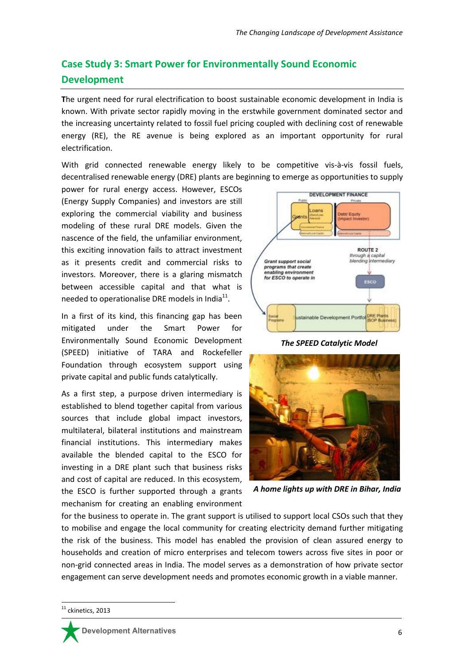## **Case Study 3: Smart Power for Environmentally Sound Economic Development**

**T**he urgent need for rural electrification to boost sustainable economic development in India is known. With private sector rapidly moving in the erstwhile government dominated sector and the increasing uncertainty related to fossil fuel pricing coupled with declining cost of renewable energy (RE), the RE avenue is being explored as an important opportunity for rural electrification.

With grid connected renewable energy likely to be competitive vis-à-vis fossil fuels, decentralised renewable energy (DRE) plants are beginning to emerge as opportunities to supply

power for rural energy access. However, ESCOs (Energy Supply Companies) and investors are still exploring the commercial viability and business modeling of these rural DRE models. Given the nascence of the field, the unfamiliar environment, this exciting innovation fails to attract investment as it presents credit and commercial risks to investors. Moreover, there is a glaring mismatch between accessible capital and that what is needed to operationalise DRE models in India $^{11}$ .

In a first of its kind, this financing gap has been mitigated under the Smart Power for Environmentally Sound Economic Development (SPEED) initiative of TARA and Rockefeller Foundation through ecosystem support using private capital and public funds catalytically.

As a first step, a purpose driven intermediary is established to blend together capital from various sources that include global impact investors, multilateral, bilateral institutions and mainstream financial institutions. This intermediary makes available the blended capital to the ESCO for investing in a DRE plant such that business risks and cost of capital are reduced. In this ecosystem, the ESCO is further supported through a grants mechanism for creating an enabling environment



*The SPEED Catalytic Model* 



*A home lights up with DRE in Bihar, India*

for the business to operate in. The grant support is utilised to support local CSOs such that they to mobilise and engage the local community for creating electricity demand further mitigating the risk of the business. This model has enabled the provision of clean assured energy to households and creation of micro enterprises and telecom towers across five sites in poor or non-grid connected areas in India. The model serves as a demonstration of how private sector engagement can serve development needs and promotes economic growth in a viable manner.

 $\overline{\phantom{a}}$ 



 $11$  ckinetics, 2013